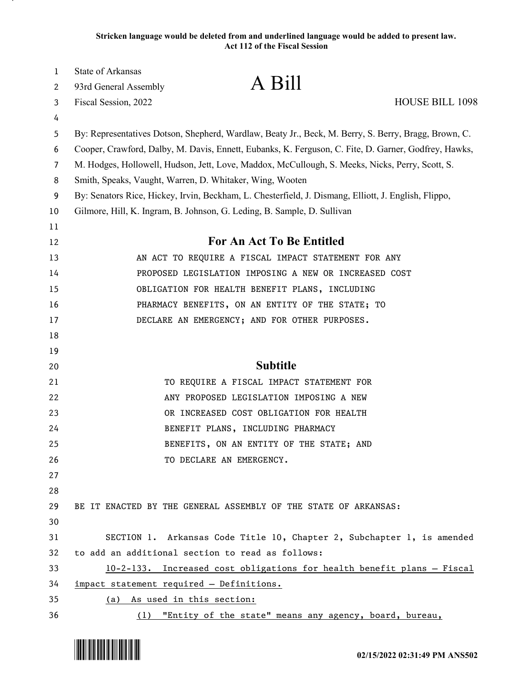| 1<br>2         | State of Arkansas<br>93rd General Assembly                                                           | A Bill                                                                                               |                        |  |
|----------------|------------------------------------------------------------------------------------------------------|------------------------------------------------------------------------------------------------------|------------------------|--|
| 3              | Fiscal Session, 2022                                                                                 |                                                                                                      | <b>HOUSE BILL 1098</b> |  |
| 4              |                                                                                                      |                                                                                                      |                        |  |
| 5              |                                                                                                      | By: Representatives Dotson, Shepherd, Wardlaw, Beaty Jr., Beck, M. Berry, S. Berry, Bragg, Brown, C. |                        |  |
| 6              | Cooper, Crawford, Dalby, M. Davis, Ennett, Eubanks, K. Ferguson, C. Fite, D. Garner, Godfrey, Hawks, |                                                                                                      |                        |  |
| $\overline{7}$ | M. Hodges, Hollowell, Hudson, Jett, Love, Maddox, McCullough, S. Meeks, Nicks, Perry, Scott, S.      |                                                                                                      |                        |  |
| 8              |                                                                                                      | Smith, Speaks, Vaught, Warren, D. Whitaker, Wing, Wooten                                             |                        |  |
| 9              | By: Senators Rice, Hickey, Irvin, Beckham, L. Chesterfield, J. Dismang, Elliott, J. English, Flippo, |                                                                                                      |                        |  |
| 10             | Gilmore, Hill, K. Ingram, B. Johnson, G. Leding, B. Sample, D. Sullivan                              |                                                                                                      |                        |  |
| 11             |                                                                                                      |                                                                                                      |                        |  |
| 12             |                                                                                                      | For An Act To Be Entitled                                                                            |                        |  |
| 13             |                                                                                                      | AN ACT TO REQUIRE A FISCAL IMPACT STATEMENT FOR ANY                                                  |                        |  |
| 14             |                                                                                                      | PROPOSED LEGISLATION IMPOSING A NEW OR INCREASED COST                                                |                        |  |
| 15             |                                                                                                      | OBLIGATION FOR HEALTH BENEFIT PLANS, INCLUDING                                                       |                        |  |
| 16             |                                                                                                      | PHARMACY BENEFITS, ON AN ENTITY OF THE STATE; TO                                                     |                        |  |
| 17             |                                                                                                      | DECLARE AN EMERGENCY; AND FOR OTHER PURPOSES.                                                        |                        |  |
| 18             |                                                                                                      |                                                                                                      |                        |  |
| 19             |                                                                                                      |                                                                                                      |                        |  |
| 20             |                                                                                                      | <b>Subtitle</b>                                                                                      |                        |  |
| 21             |                                                                                                      | TO REQUIRE A FISCAL IMPACT STATEMENT FOR                                                             |                        |  |
| 22             |                                                                                                      | ANY PROPOSED LEGISLATION IMPOSING A NEW                                                              |                        |  |
| 23             |                                                                                                      | OR INCREASED COST OBLIGATION FOR HEALTH                                                              |                        |  |
| 24             |                                                                                                      | BENEFIT PLANS, INCLUDING PHARMACY                                                                    |                        |  |
| 25             |                                                                                                      | BENEFITS, ON AN ENTITY OF THE STATE; AND                                                             |                        |  |
| 26             |                                                                                                      | TO DECLARE AN EMERGENCY.                                                                             |                        |  |
| 27             |                                                                                                      |                                                                                                      |                        |  |
| 28             |                                                                                                      |                                                                                                      |                        |  |
| 29             |                                                                                                      | BE IT ENACTED BY THE GENERAL ASSEMBLY OF THE STATE OF ARKANSAS:                                      |                        |  |
| 30             |                                                                                                      |                                                                                                      |                        |  |
| 31             |                                                                                                      | SECTION 1. Arkansas Code Title 10, Chapter 2, Subchapter 1, is amended                               |                        |  |
| 32             |                                                                                                      | to add an additional section to read as follows:                                                     |                        |  |
| 33             |                                                                                                      | 10-2-133. Increased cost obligations for health benefit plans - Fiscal                               |                        |  |
| 34             | impact statement required - Definitions.                                                             |                                                                                                      |                        |  |
| 35             | (a) As used in this section:                                                                         |                                                                                                      |                        |  |
| 36             |                                                                                                      | (1) "Entity of the state" means any agency, board, bureau,                                           |                        |  |

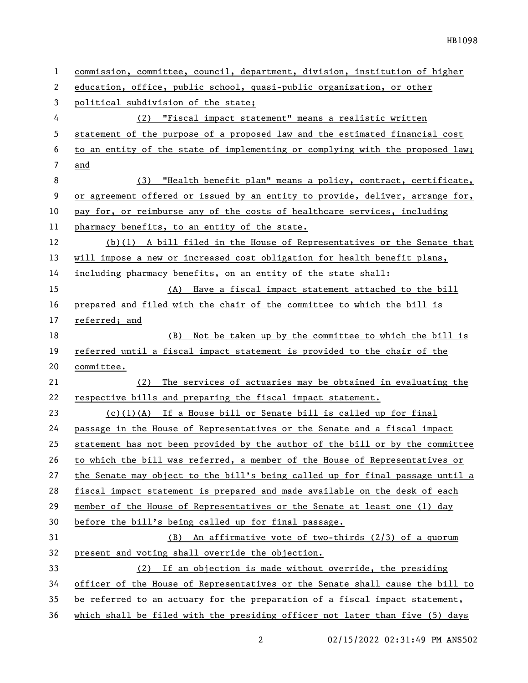| 1  | commission, committee, council, department, division, institution of higher   |
|----|-------------------------------------------------------------------------------|
| 2  | education, office, public school, quasi-public organization, or other         |
| 3  | political subdivision of the state;                                           |
| 4  | (2) "Fiscal impact statement" means a realistic written                       |
| 5  | statement of the purpose of a proposed law and the estimated financial cost   |
| 6  | to an entity of the state of implementing or complying with the proposed law; |
| 7  | and                                                                           |
| 8  | "Health benefit plan" means a policy, contract, certificate,<br>(3)           |
| 9  | or agreement offered or issued by an entity to provide, deliver, arrange for, |
| 10 | pay for, or reimburse any of the costs of healthcare services, including      |
| 11 | pharmacy benefits, to an entity of the state.                                 |
| 12 | $(b)(1)$ A bill filed in the House of Representatives or the Senate that      |
| 13 | will impose a new or increased cost obligation for health benefit plans,      |
| 14 | including pharmacy benefits, on an entity of the state shall:                 |
| 15 | (A) Have a fiscal impact statement attached to the bill                       |
| 16 | prepared and filed with the chair of the committee to which the bill is       |
| 17 | referred; and                                                                 |
| 18 | Not be taken up by the committee to which the bill is<br>(B)                  |
| 19 | referred until a fiscal impact statement is provided to the chair of the      |
| 20 | committee.                                                                    |
| 21 | The services of actuaries may be obtained in evaluating the<br>(2)            |
| 22 | respective bills and preparing the fiscal impact statement.                   |
| 23 | $(c)(1)(A)$ If a House bill or Senate bill is called up for final             |
| 24 | passage in the House of Representatives or the Senate and a fiscal impact     |
| 25 | statement has not been provided by the author of the bill or by the committee |
| 26 | to which the bill was referred, a member of the House of Representatives or   |
| 27 | the Senate may object to the bill's being called up for final passage until a |
| 28 | fiscal impact statement is prepared and made available on the desk of each    |
| 29 | member of the House of Representatives or the Senate at least one (1) day     |
| 30 | before the bill's being called up for final passage.                          |
| 31 | <u>An affirmative vote of two-thirds (2/3) of a quorum</u><br>(B)             |
| 32 | present and voting shall override the objection.                              |
| 33 | If an objection is made without override, the presiding<br>(2)                |
| 34 | officer of the House of Representatives or the Senate shall cause the bill to |
| 35 | be referred to an actuary for the preparation of a fiscal impact statement,   |
| 36 | which shall be filed with the presiding officer not later than five (5) days  |

2 02/15/2022 02:31:49 PM ANS502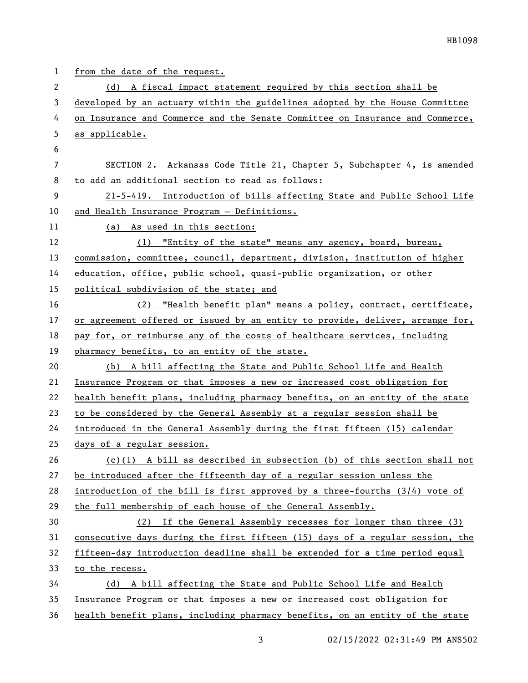| $\mathbf{1}$ | from the date of the request.                                                 |
|--------------|-------------------------------------------------------------------------------|
| 2            | (d) A fiscal impact statement required by this section shall be               |
| 3            | developed by an actuary within the guidelines adopted by the House Committee  |
| 4            | on Insurance and Commerce and the Senate Committee on Insurance and Commerce, |
| 5            | as applicable.                                                                |
| 6            |                                                                               |
| 7            | SECTION 2. Arkansas Code Title 21, Chapter 5, Subchapter 4, is amended        |
| 8            | to add an additional section to read as follows:                              |
| 9            | 21-5-419. Introduction of bills affecting State and Public School Life        |
| 10           | and Health Insurance Program - Definitions.                                   |
| 11           | (a) As used in this section:                                                  |
| 12           | "Entity of the state" means any agency, board, bureau,<br>(1)                 |
| 13           | commission, committee, council, department, division, institution of higher   |
| 14           | education, office, public school, quasi-public organization, or other         |
| 15           | political subdivision of the state; and                                       |
| 16           | (2) "Health benefit plan" means a policy, contract, certificate,              |
| 17           | or agreement offered or issued by an entity to provide, deliver, arrange for, |
| 18           | pay for, or reimburse any of the costs of healthcare services, including      |
| 19           | pharmacy benefits, to an entity of the state.                                 |
| 20           | (b) A bill affecting the State and Public School Life and Health              |
| 21           | Insurance Program or that imposes a new or increased cost obligation for      |
| 22           | health benefit plans, including pharmacy benefits, on an entity of the state  |
| 23           | to be considered by the General Assembly at a regular session shall be        |
| 24           | introduced in the General Assembly during the first fifteen (15) calendar     |
| 25           | days of a regular session.                                                    |
| 26           | $(c)(1)$ A bill as described in subsection (b) of this section shall not      |
| 27           | be introduced after the fifteenth day of a regular session unless the         |
| 28           | introduction of the bill is first approved by a three-fourths $(3/4)$ vote of |
| 29           | the full membership of each house of the General Assembly.                    |
| 30           | (2) If the General Assembly recesses for longer than three (3)                |
| 31           | consecutive days during the first fifteen (15) days of a regular session, the |
| 32           | fifteen-day introduction deadline shall be extended for a time period equal   |
| 33           | to the recess.                                                                |
| 34           | (d) A bill affecting the State and Public School Life and Health              |
| 35           | Insurance Program or that imposes a new or increased cost obligation for      |
| 36           | health benefit plans, including pharmacy benefits, on an entity of the state  |

3 02/15/2022 02:31:49 PM ANS502